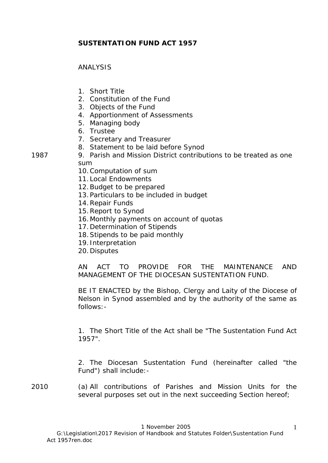# **SUSTENTATION FUND ACT 1957**

### ANALYSIS

- 1. Short Title
- 2. Constitution of the Fund
- 3. Objects of the Fund
- 4. Apportionment of Assessments
- 5. Managing body
- 6. Trustee
- 7. Secretary and Treasurer
- 8. Statement to be laid before Synod
- 1987 9. Parish and Mission District contributions to be treated as one sum
	- 10.Computation of sum
	- 11.Local Endowments
	- 12.Budget to be prepared
	- 13.Particulars to be included in budget
	- 14.Repair Funds
	- 15.Report to Synod
	- 16.Monthly payments on account of quotas
	- 17.Determination of Stipends
	- 18.Stipends to be paid monthly
	- 19. Interpretation
	- 20.Disputes

AN ACT TO PROVIDE FOR THE MAINTENANCE AND MANAGEMENT OF THE DIOCESAN SUSTENTATION FUND.

BE IT ENACTED by the Bishop, Clergy and Laity of the Diocese of Nelson in Synod assembled and by the authority of the same as follows:-

1. The Short Title of the Act shall be "The Sustentation Fund Act 1957".

2. The Diocesan Sustentation Fund (hereinafter called "the Fund") shall include:-

2010 (a) All contributions of Parishes and Mission Units for the several purposes set out in the next succeeding Section hereof;

1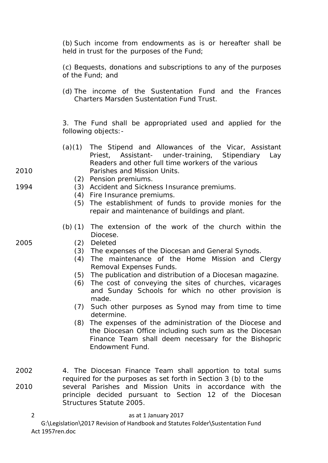(b) Such income from endowments as is or hereafter shall be held in trust for the purposes of the Fund;

(c) Bequests, donations and subscriptions to any of the purposes of the Fund; and

(d) The income of the Sustentation Fund and the Frances Charters Marsden Sustentation Fund Trust.

3. The Fund shall be appropriated used and applied for the following objects:-

- (a)(1) The Stipend and Allowances of the Vicar, Assistant Priest, Assistant- under-training, Stipendiary Lay Readers and other full time workers of the various 2010 Parishes and Mission Units.
	- (2) Pension premiums.
- 1994 (3) Accident and Sickness Insurance premiums.
	- (4) Fire Insurance premiums.
	- (5) The establishment of funds to provide monies for the repair and maintenance of buildings and plant.
	- (b) (1) The extension of the work of the church within the Diocese.
- 2005 (2) Deleted
	- (3) The expenses of the Diocesan and General Synods.
	- (4) The maintenance of the Home Mission and Clergy Removal Expenses Funds.
	- (5) The publication and distribution of a Diocesan magazine.
	- (6) The cost of conveying the sites of churches, vicarages and Sunday Schools for which no other provision is made.
	- (7) Such other purposes as Synod may from time to time determine.
	- (8) The expenses of the administration of the Diocese and the Diocesan Office including such sum as the Diocesan Finance Team shall deem necessary for the Bishopric Endowment Fund.
- 2002 4. The Diocesan Finance Team shall apportion to total sums required for the purposes as set forth in Section 3 (b) to the 2010 several Parishes and Mission Units in accordance with the principle decided pursuant to Section 12 of the Diocesan Structures Statute 2005.
	- as at 1 January 2017 G:\Legislation\2017 Revision of Handbook and Statutes Folder\Sustentation Fund Act 1957ren.doc 2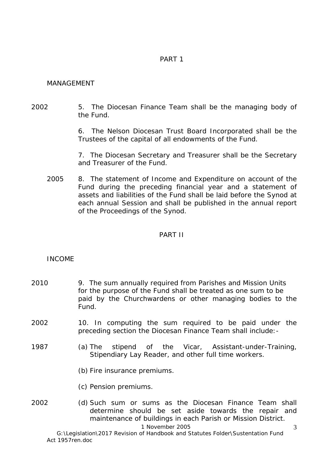## PART 1

#### MANAGEMENT

## 2002 5. The Diocesan Finance Team shall be the managing body of the Fund.

6. The Nelson Diocesan Trust Board Incorporated shall be the Trustees of the capital of all endowments of the Fund.

7. The Diocesan Secretary and Treasurer shall be the Secretary and Treasurer of the Fund.

2005 8. The statement of Income and Expenditure on account of the Fund during the preceding financial year and a statement of assets and liabilities of the Fund shall be laid before the Synod at each annual Session and shall be published in the annual report of the Proceedings of the Synod.

## PART II

## INCOME

- 2010 9. The sum annually required from Parishes and Mission Units for the purpose of the Fund shall be treated as one sum to be paid by the Churchwardens or other managing bodies to the Fund.
- 2002 10. In computing the sum required to be paid under the preceding section the Diocesan Finance Team shall include:-
- 1987 (a) The stipend of the Vicar, Assistant-under-Training, Stipendiary Lay Reader, and other full time workers.
	- (b) Fire insurance premiums.
	- (c) Pension premiums.
- 2002 (d) Such sum or sums as the Diocesan Finance Team shall determine should be set aside towards the repair and maintenance of buildings in each Parish or Mission District.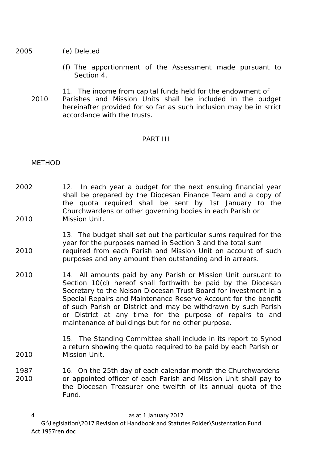2005 (e) Deleted

- (f) The apportionment of the Assessment made pursuant to Section 4.
- 11. The income from capital funds held for the endowment of 2010 Parishes and Mission Units shall be included in the budget hereinafter provided for so far as such inclusion may be in strict accordance with the trusts.

#### PART III

### METHOD

- 2002 12. In each year a budget for the next ensuing financial year shall be prepared by the Diocesan Finance Team and a copy of the quota required shall be sent by 1st January to the Churchwardens or other governing bodies in each Parish or 2010 Mission Unit.
- 13. The budget shall set out the particular sums required for the year for the purposes named in Section 3 and the total sum 2010 required from each Parish and Mission Unit on account of such purposes and any amount then outstanding and in arrears.
- 2010 14. All amounts paid by any Parish or Mission Unit pursuant to Section 10(d) hereof shall forthwith be paid by the Diocesan Secretary to the Nelson Diocesan Trust Board for investment in a Special Repairs and Maintenance Reserve Account for the benefit of such Parish or District and may be withdrawn by such Parish or District at any time for the purpose of repairs to and maintenance of buildings but for no other purpose.
- 15. The Standing Committee shall include in its report to Synod a return showing the quota required to be paid by each Parish or 2010 Mission Unit.
- 1987 16. On the 25th day of each calendar month the Churchwardens 2010 or appointed officer of each Parish and Mission Unit shall pay to the Diocesan Treasurer one twelfth of its annual quota of the Fund.